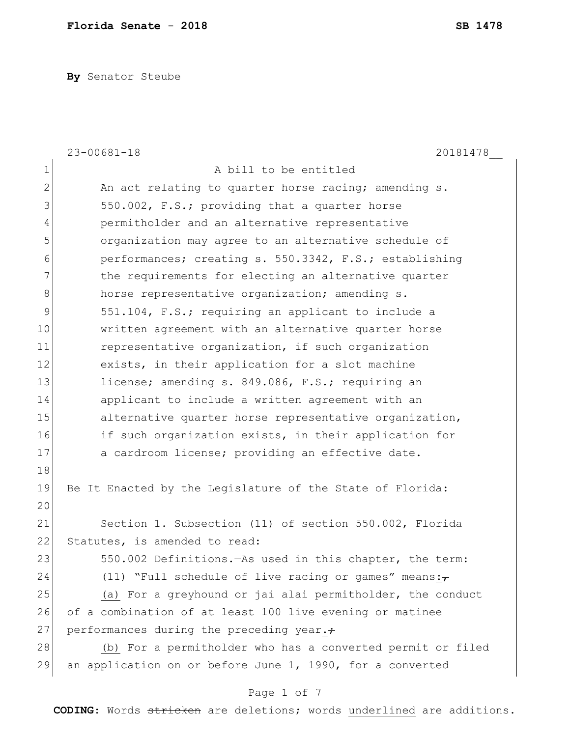**By** Senator Steube

|               | $23 - 00681 - 18$<br>20181478                                      |
|---------------|--------------------------------------------------------------------|
| 1             | A bill to be entitled                                              |
| $\mathbf{2}$  | An act relating to quarter horse racing; amending s.               |
| 3             | 550.002, F.S.; providing that a quarter horse                      |
| 4             | permitholder and an alternative representative                     |
| 5             | organization may agree to an alternative schedule of               |
| 6             | performances; creating s. 550.3342, F.S.; establishing             |
| 7             | the requirements for electing an alternative quarter               |
| 8             | horse representative organization; amending s.                     |
| $\mathcal{G}$ | 551.104, F.S.; requiring an applicant to include a                 |
| 10            | written agreement with an alternative quarter horse                |
| 11            | representative organization, if such organization                  |
| 12            | exists, in their application for a slot machine                    |
| 13            | license; amending s. 849.086, F.S.; requiring an                   |
| 14            | applicant to include a written agreement with an                   |
| 15            | alternative quarter horse representative organization,             |
| 16            | if such organization exists, in their application for              |
| 17            | a cardroom license; providing an effective date.                   |
| 18            |                                                                    |
| 19            | Be It Enacted by the Legislature of the State of Florida:          |
| 20            |                                                                    |
| 21            | Section 1. Subsection (11) of section 550.002, Florida             |
| 22            | Statutes, is amended to read:                                      |
| 23            | 550.002 Definitions. - As used in this chapter, the term:          |
| 24            | (11) "Full schedule of live racing or games" means: $\overline{z}$ |
| 25            | (a) For a greyhound or jai alai permitholder, the conduct          |
| 26            | of a combination of at least 100 live evening or matinee           |
| 27            | performances during the preceding year.+                           |
| 28            | (b) For a permitholder who has a converted permit or filed         |
| 29            | an application on or before June 1, 1990, for a converted          |

# Page 1 of 7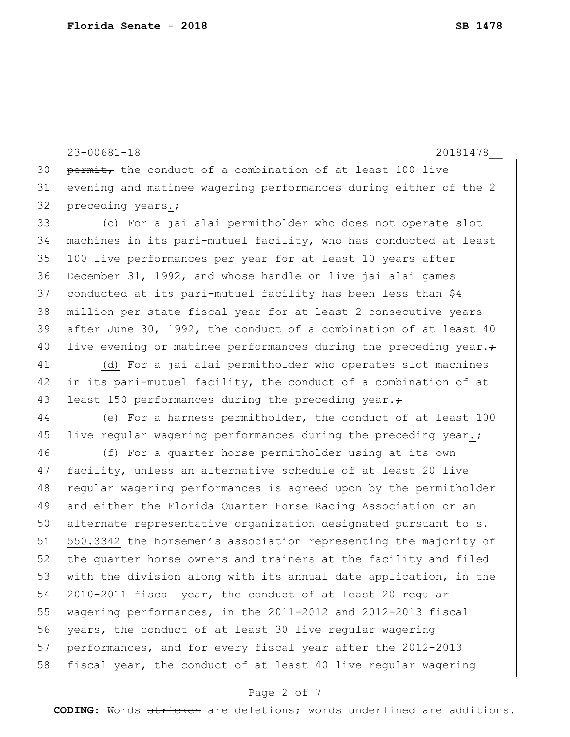23-00681-18 20181478\_\_  $30$  permit, the conduct of a combination of at least 100 live 31 evening and matinee wagering performances during either of the 2 32 preceding years. $\div$ 33 (c) For a jai alai permitholder who does not operate slot 34 machines in its pari-mutuel facility, who has conducted at least 35 100 live performances per year for at least 10 years after 36 December 31, 1992, and whose handle on live jai alai games 37 conducted at its pari-mutuel facility has been less than \$4 38 million per state fiscal year for at least 2 consecutive years 39 after June 30, 1992, the conduct of a combination of at least 40 40 live evening or matinee performances during the preceding year. $\div$ 41 (d) For a jai alai permitholder who operates slot machines 42 in its pari-mutuel facility, the conduct of a combination of at 43 least 150 performances during the preceding year. $\div$ 44 (e) For a harness permitholder, the conduct of at least 100 45 live regular wagering performances during the preceding year. $\div$ 46 (f) For a quarter horse permitholder using at its own 47 facility, unless an alternative schedule of at least 20 live 48 regular wagering performances is agreed upon by the permitholder 49 and either the Florida Quarter Horse Racing Association or an 50 alternate representative organization designated pursuant to s. 51 550.3342 the horsemen's association representing the majority of 52 the quarter horse owners and trainers at the facility and filed 53 with the division along with its annual date application, in the 54 2010-2011 fiscal year, the conduct of at least 20 regular 55 wagering performances, in the 2011-2012 and 2012-2013 fiscal 56 years, the conduct of at least 30 live regular wagering 57 performances, and for every fiscal year after the 2012-2013 58 fiscal year, the conduct of at least 40 live regular wagering

#### Page 2 of 7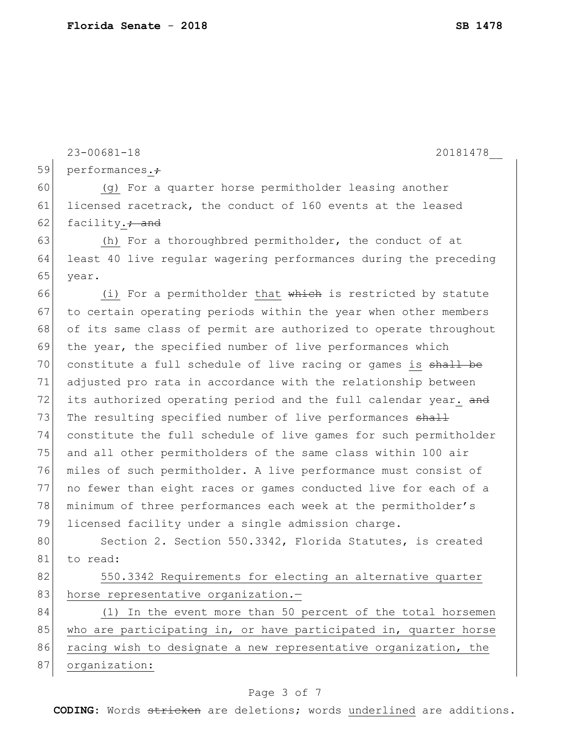23-00681-18 20181478\_\_

59 performances.

60 (g) For a quarter horse permitholder leasing another 61 licensed racetrack, the conduct of 160 events at the leased 62 facility. $\frac{1}{10}$  facility.

63 (h) For a thoroughbred permitholder, the conduct of at 64 least 40 live regular wagering performances during the preceding 65 year.

66 (i) For a permitholder that which is restricted by statute 67 to certain operating periods within the year when other members 68 of its same class of permit are authorized to operate throughout 69 the year, the specified number of live performances which 70 constitute a full schedule of live racing or games is shall be 71 adjusted pro rata in accordance with the relationship between 72 its authorized operating period and the full calendar year. and 73 The resulting specified number of live performances shall 74 constitute the full schedule of live games for such permitholder 75 and all other permitholders of the same class within 100 air 76 miles of such permitholder. A live performance must consist of 77 no fewer than eight races or games conducted live for each of a 78 minimum of three performances each week at the permitholder's 79 licensed facility under a single admission charge.

80 Section 2. Section 550.3342, Florida Statutes, is created 81 to read:

82 550.3342 Requirements for electing an alternative quarter 83 horse representative organization.-

84 (1) In the event more than 50 percent of the total horsemen 85 who are participating in, or have participated in, quarter horse 86 racing wish to designate a new representative organization, the 87 organization:

#### Page 3 of 7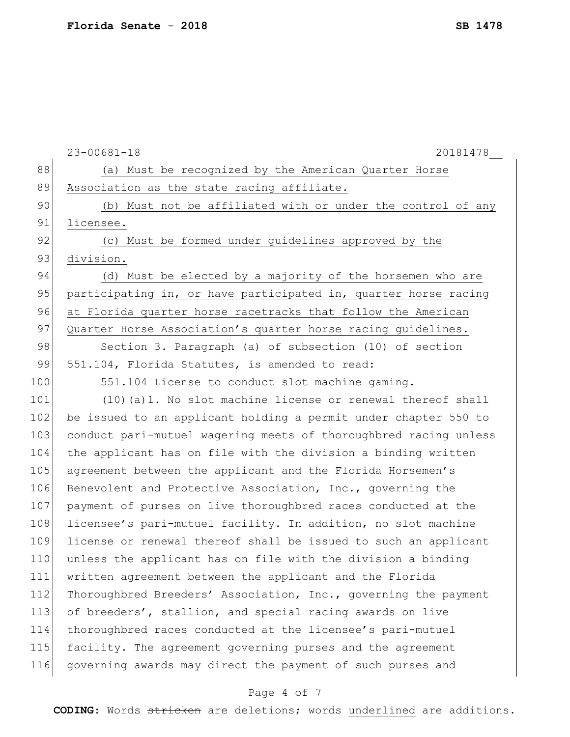|     | $23 - 00681 - 18$<br>20181478                                    |
|-----|------------------------------------------------------------------|
| 88  | (a) Must be recognized by the American Quarter Horse             |
| 89  | Association as the state racing affiliate.                       |
| 90  | (b) Must not be affiliated with or under the control of any      |
| 91  | licensee.                                                        |
| 92  | (c) Must be formed under guidelines approved by the              |
| 93  | division.                                                        |
| 94  | (d) Must be elected by a majority of the horsemen who are        |
| 95  | participating in, or have participated in, quarter horse racing  |
| 96  | at Florida quarter horse racetracks that follow the American     |
| 97  | Quarter Horse Association's quarter horse racing guidelines.     |
| 98  | Section 3. Paragraph (a) of subsection (10) of section           |
| 99  | 551.104, Florida Statutes, is amended to read:                   |
| 100 | 551.104 License to conduct slot machine gaming.-                 |
| 101 | $(10)$ (a) 1. No slot machine license or renewal thereof shall   |
| 102 | be issued to an applicant holding a permit under chapter 550 to  |
| 103 | conduct pari-mutuel wagering meets of thoroughbred racing unless |
| 104 | the applicant has on file with the division a binding written    |
| 105 | agreement between the applicant and the Florida Horsemen's       |
| 106 | Benevolent and Protective Association, Inc., governing the       |
| 107 | payment of purses on live thoroughbred races conducted at the    |
| 108 | licensee's pari-mutuel facility. In addition, no slot machine    |
| 109 | license or renewal thereof shall be issued to such an applicant  |
| 110 | unless the applicant has on file with the division a binding     |
| 111 | written agreement between the applicant and the Florida          |
| 112 | Thoroughbred Breeders' Association, Inc., governing the payment  |
| 113 | of breeders', stallion, and special racing awards on live        |
| 114 | thoroughbred races conducted at the licensee's pari-mutuel       |
| 115 | facility. The agreement governing purses and the agreement       |
| 116 | governing awards may direct the payment of such purses and       |
|     |                                                                  |

# Page 4 of 7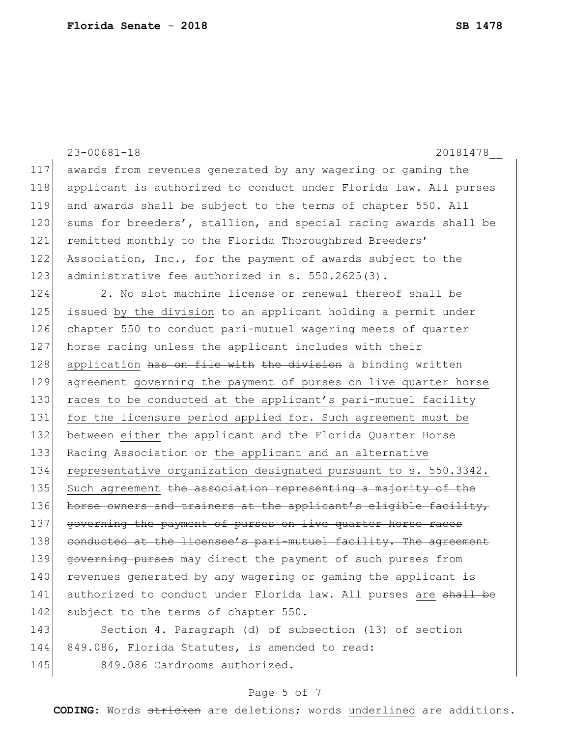|     | $23 - 00681 - 18$<br>20181478                                            |
|-----|--------------------------------------------------------------------------|
| 117 | awards from revenues generated by any wagering or gaming the             |
| 118 | applicant is authorized to conduct under Florida law. All purses         |
| 119 | and awards shall be subject to the terms of chapter 550. All             |
| 120 | sums for breeders', stallion, and special racing awards shall be         |
| 121 | remitted monthly to the Florida Thoroughbred Breeders'                   |
| 122 | Association, Inc., for the payment of awards subject to the              |
| 123 | administrative fee authorized in s. 550.2625(3).                         |
| 124 | 2. No slot machine license or renewal thereof shall be                   |
| 125 | issued by the division to an applicant holding a permit under            |
| 126 | chapter 550 to conduct pari-mutuel wagering meets of quarter             |
| 127 | horse racing unless the applicant includes with their                    |
| 128 | application has on file with the division a binding written              |
| 129 | agreement governing the payment of purses on live quarter horse          |
| 130 | races to be conducted at the applicant's pari-mutuel facility            |
| 131 | for the licensure period applied for. Such agreement must be             |
| 132 | between either the applicant and the Florida Quarter Horse               |
| 133 | Racing Association or the applicant and an alternative                   |
| 134 | representative organization designated pursuant to s. 550.3342.          |
| 135 | Such agreement <del>the association representing a majority of the</del> |
| 136 | horse owners and trainers at the applicant's eligible facility,          |
| 137 | governing the payment of purses on live quarter horse races              |
| 138 | conducted at the licensee's pari-mutuel facility. The agreement          |
| 139 | governing purses may direct the payment of such purses from              |
| 140 | revenues generated by any wagering or gaming the applicant is            |
| 141 | authorized to conduct under Florida law. All purses are shall be         |
| 142 | subject to the terms of chapter 550.                                     |
| 143 | Section 4. Paragraph (d) of subsection (13) of section                   |
| 144 | 849.086, Florida Statutes, is amended to read:                           |
| 145 | 849.086 Cardrooms authorized.-                                           |

# Page 5 of 7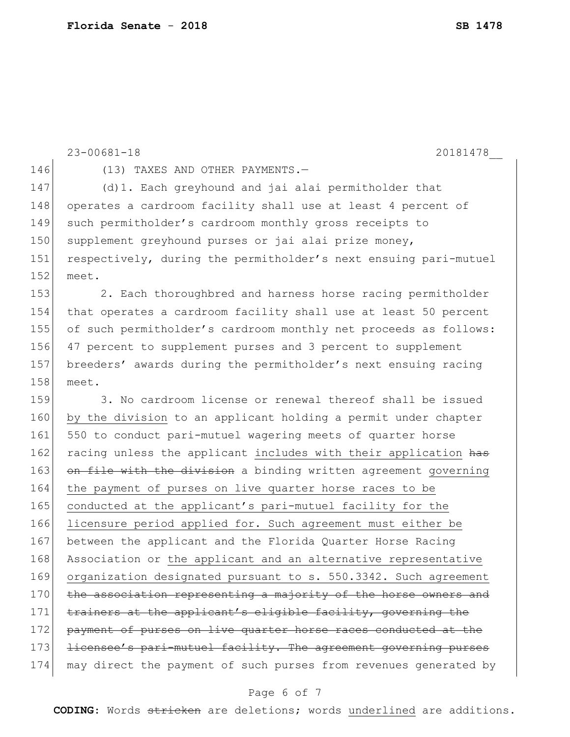```
23-00681-18 20181478__
146 (13) TAXES AND OTHER PAYMENTS.
147 (d)1. Each greyhound and jai alai permitholder that 
148 operates a cardroom facility shall use at least 4 percent of
149 such permitholder's cardroom monthly gross receipts to
150 supplement greyhound purses or jai alai prize money,
151 respectively, during the permitholder's next ensuing pari-mutuel 
152 meet.
153 2. Each thoroughbred and harness horse racing permitholder
154 that operates a cardroom facility shall use at least 50 percent 
155 of such permitholder's cardroom monthly net proceeds as follows: 
156 47 percent to supplement purses and 3 percent to supplement 
157 breeders' awards during the permitholder's next ensuing racing 
158 meet.
159 3. No cardroom license or renewal thereof shall be issued
160 by the division to an applicant holding a permit under chapter 
161 550 to conduct pari-mutuel wagering meets of quarter horse
162 racing unless the applicant includes with their application has
163 on file with the division a binding written agreement governing
164 the payment of purses on live quarter horse races to be 
165 conducted at the applicant's pari-mutuel facility for the
166 licensure period applied for. Such agreement must either be
167 between the applicant and the Florida Quarter Horse Racing
168 Association or the applicant and an alternative representative
169 organization designated pursuant to s. 550.3342. Such agreement
170 the association representing a majority of the horse owners and
171 trainers at the applicant's eligible facility, governing the
172 payment of purses on live quarter horse races conducted at the
173 <del>licensee's pari-mutuel facility. The agreement governing purses</del>
174 may direct the payment of such purses from revenues generated by
```
#### Page 6 of 7